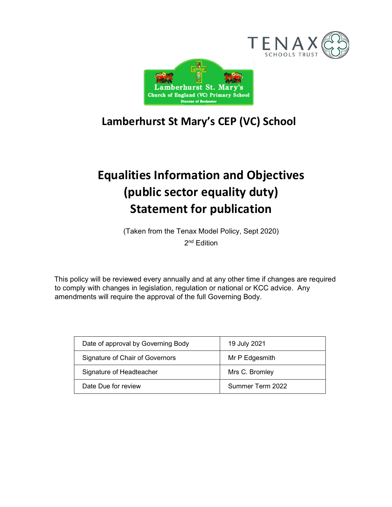



# Lamberhurst St Mary's CEP (VC) School

# Equalities Information and Objectives (public sector equality duty) Statement for publication

(Taken from the Tenax Model Policy, Sept 2020)

2 nd Edition

This policy will be reviewed every annually and at any other time if changes are required to comply with changes in legislation, regulation or national or KCC advice. Any amendments will require the approval of the full Governing Body.

| Date of approval by Governing Body | 19 July 2021     |  |
|------------------------------------|------------------|--|
| Signature of Chair of Governors    | Mr P Edgesmith   |  |
| Signature of Headteacher           | Mrs C. Bromley   |  |
| Date Due for review                | Summer Term 2022 |  |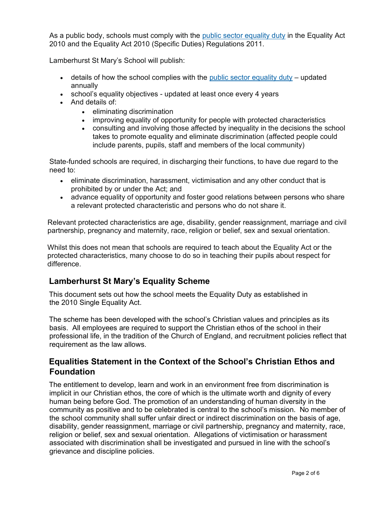As a public body, schools must comply with the public sector equality duty in the Equality Act 2010 and the Equality Act 2010 (Specific Duties) Regulations 2011.

Lamberhurst St Mary's School will publish:

- $\bullet$  details of how the school complies with the public sector equality duty updated annually
- school's equality objectives updated at least once every 4 years
- And details of:
	- eliminating discrimination
	- improving equality of opportunity for people with protected characteristics
	- consulting and involving those affected by inequality in the decisions the school takes to promote equality and eliminate discrimination (affected people could include parents, pupils, staff and members of the local community)

State-funded schools are required, in discharging their functions, to have due regard to the need to:

- eliminate discrimination, harassment, victimisation and any other conduct that is prohibited by or under the Act; and
- advance equality of opportunity and foster good relations between persons who share a relevant protected characteristic and persons who do not share it.

Relevant protected characteristics are age, disability, gender reassignment, marriage and civil partnership, pregnancy and maternity, race, religion or belief, sex and sexual orientation.

Whilst this does not mean that schools are required to teach about the Equality Act or the protected characteristics, many choose to do so in teaching their pupils about respect for difference.

# Lamberhurst St Mary's Equality Scheme

This document sets out how the school meets the Equality Duty as established in the 2010 Single Equality Act.

The scheme has been developed with the school's Christian values and principles as its basis. All employees are required to support the Christian ethos of the school in their professional life, in the tradition of the Church of England, and recruitment policies reflect that requirement as the law allows.

# Equalities Statement in the Context of the School's Christian Ethos and Foundation

The entitlement to develop, learn and work in an environment free from discrimination is implicit in our Christian ethos, the core of which is the ultimate worth and dignity of every human being before God. The promotion of an understanding of human diversity in the community as positive and to be celebrated is central to the school's mission. No member of the school community shall suffer unfair direct or indirect discrimination on the basis of age, disability, gender reassignment, marriage or civil partnership, pregnancy and maternity, race, religion or belief, sex and sexual orientation. Allegations of victimisation or harassment associated with discrimination shall be investigated and pursued in line with the school's grievance and discipline policies.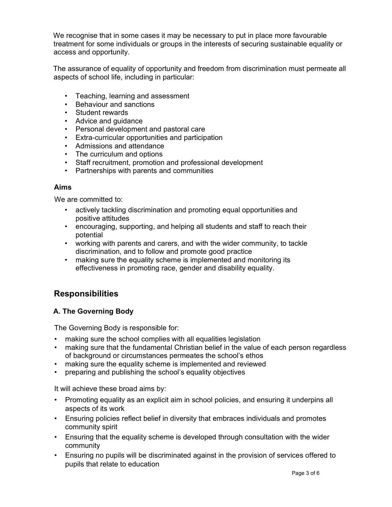We recognise that in some cases it may be necessary to put in place more favourable treatment for some individuals or groups in the interests of securing sustainable equality or access and opportunity.

The assurance of equality of opportunity and freedom from discrimination must permeate all aspects of school life, including in particular:

- Teaching, learning and assessment
- Behaviour and sanctions
- Student rewards
- Advice and guidance
- Personal development and pastoral care
- Extra-curricular opportunities and participation
- Admissions and attendance
- The curriculum and options
- Staff recruitment, promotion and professional development
- Partnerships with parents and communities

#### Aims

We are committed to:

- actively tackling discrimination and promoting equal opportunities and positive attitudes
- encouraging, supporting, and helping all students and staff to reach their potential
- working with parents and carers, and with the wider community, to tackle discrimination, and to follow and promote good practice
- making sure the equality scheme is implemented and monitoring its effectiveness in promoting race, gender and disability equality.

### Responsibilities

#### A. The Governing Body

The Governing Body is responsible for:

- making sure the school complies with all equalities legislation
- making sure that the fundamental Christian belief in the value of each person regardless of background or circumstances permeates the school's ethos
- making sure the equality scheme is implemented and reviewed
- preparing and publishing the school's equality objectives

It will achieve these broad aims by:

- Promoting equality as an explicit aim in school policies, and ensuring it underpins all aspects of its work
- Ensuring policies reflect belief in diversity that embraces individuals and promotes community spirit
- Ensuring that the equality scheme is developed through consultation with the wider community
- Ensuring no pupils will be discriminated against in the provision of services offered to pupils that relate to education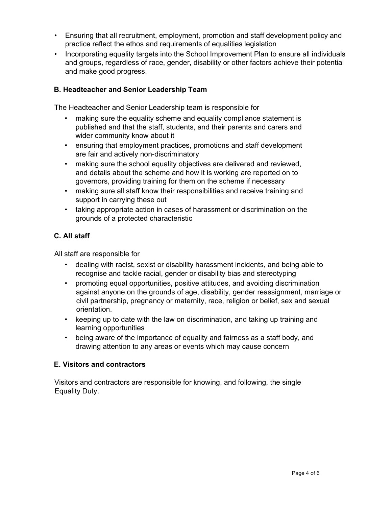- Ensuring that all recruitment, employment, promotion and staff development policy and practice reflect the ethos and requirements of equalities legislation
- Incorporating equality targets into the School Improvement Plan to ensure all individuals and groups, regardless of race, gender, disability or other factors achieve their potential and make good progress.

#### B. Headteacher and Senior Leadership Team

The Headteacher and Senior Leadership team is responsible for

- making sure the equality scheme and equality compliance statement is published and that the staff, students, and their parents and carers and wider community know about it
- ensuring that employment practices, promotions and staff development are fair and actively non-discriminatory
- making sure the school equality objectives are delivered and reviewed, and details about the scheme and how it is working are reported on to governors, providing training for them on the scheme if necessary
- making sure all staff know their responsibilities and receive training and support in carrying these out
- taking appropriate action in cases of harassment or discrimination on the grounds of a protected characteristic

#### C. All staff

All staff are responsible for

- dealing with racist, sexist or disability harassment incidents, and being able to recognise and tackle racial, gender or disability bias and stereotyping
- promoting equal opportunities, positive attitudes, and avoiding discrimination against anyone on the grounds of age, disability, gender reassignment, marriage or civil partnership, pregnancy or maternity, race, religion or belief, sex and sexual orientation.
- keeping up to date with the law on discrimination, and taking up training and learning opportunities
- being aware of the importance of equality and fairness as a staff body, and drawing attention to any areas or events which may cause concern

#### E. Visitors and contractors

Visitors and contractors are responsible for knowing, and following, the single Equality Duty.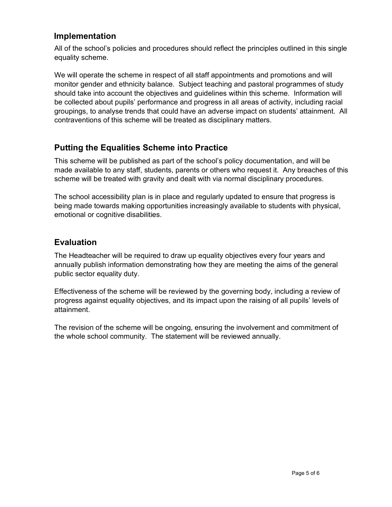# Implementation

All of the school's policies and procedures should reflect the principles outlined in this single equality scheme.

We will operate the scheme in respect of all staff appointments and promotions and will monitor gender and ethnicity balance. Subject teaching and pastoral programmes of study should take into account the objectives and guidelines within this scheme. Information will be collected about pupils' performance and progress in all areas of activity, including racial groupings, to analyse trends that could have an adverse impact on students' attainment. All contraventions of this scheme will be treated as disciplinary matters.

# Putting the Equalities Scheme into Practice

This scheme will be published as part of the school's policy documentation, and will be made available to any staff, students, parents or others who request it. Any breaches of this scheme will be treated with gravity and dealt with via normal disciplinary procedures.

The school accessibility plan is in place and regularly updated to ensure that progress is being made towards making opportunities increasingly available to students with physical, emotional or cognitive disabilities.

# Evaluation

The Headteacher will be required to draw up equality objectives every four years and annually publish information demonstrating how they are meeting the aims of the general public sector equality duty.

Effectiveness of the scheme will be reviewed by the governing body, including a review of progress against equality objectives, and its impact upon the raising of all pupils' levels of attainment.

The revision of the scheme will be ongoing, ensuring the involvement and commitment of the whole school community. The statement will be reviewed annually.